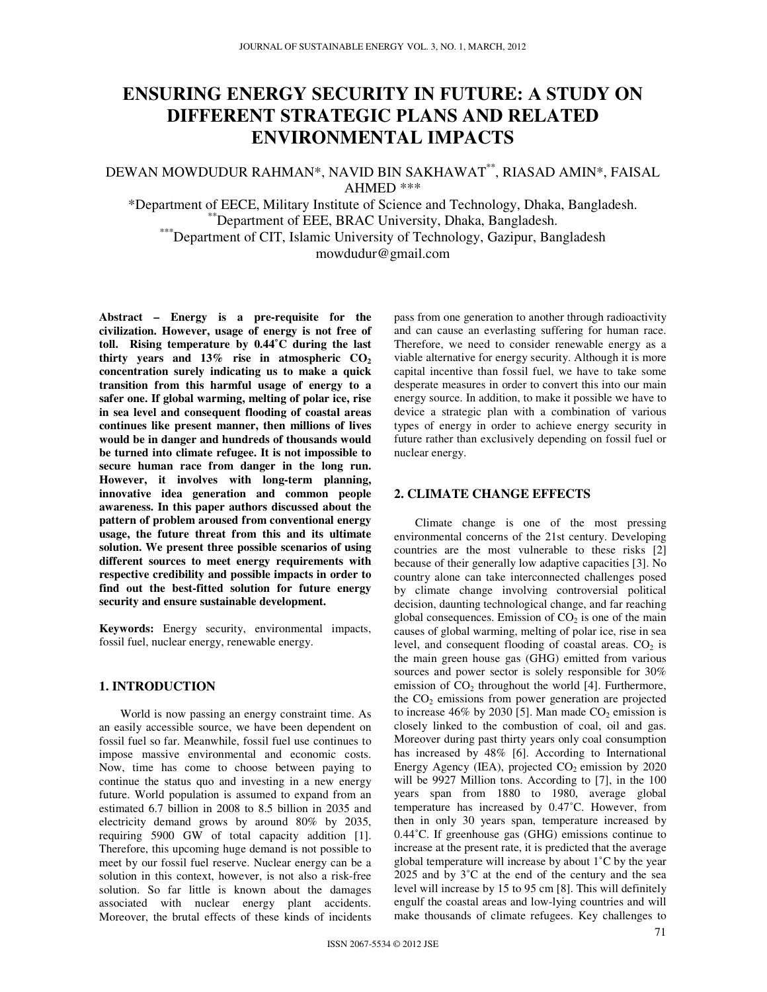# E**NSURING** E**NERGY** S**ECURITY IN** F**UTURE**: A S**TUDY ON** D**IFFERENT** S**TRATEGIC** P**LANS AND** R**ELATED** E**NVIRONMENTAL** I**MPACTS**

## DEWAN MOWDUDUR RAHMAN\*, NAVID BIN SAKHAWAT\*\* , RIASAD AMIN\*, FAISAL AHMED \*\*\*

\*Department of EECE, Military Institute of Science and Technology, Dhaka, Bangladesh. \*\*Department of EEE, BRAC University, Dhaka, Bangladesh. \*\*\*Department of CIT, Islamic University of Technology, Gazipur, Bangladesh mowdudur@gmail.com

**Abstract – Energy is a pre-requisite for the civilization. However, usage of energy is not free of toll. Rising temperature by 0.44˚C during the last thirty years and 13% rise in atmospheric CO<sup>2</sup> concentration surely indicating us to make a quick transition from this harmful usage of energy to a safer one. If global warming, melting of polar ice, rise in sea level and consequent flooding of coastal areas continues like present manner, then millions of lives would be in danger and hundreds of thousands would be turned into climate refugee. It is not impossible to secure human race from danger in the long run. However, it involves with long-term planning, innovative idea generation and common people awareness. In this paper authors discussed about the pattern of problem aroused from conventional energy usage, the future threat from this and its ultimate solution. We present three possible scenarios of using different sources to meet energy requirements with respective credibility and possible impacts in order to find out the best-fitted solution for future energy security and ensure sustainable development.** 

**Keywords:** Energy security, environmental impacts, fossil fuel, nuclear energy, renewable energy.

### **1. INTRODUCTION**

World is now passing an energy constraint time. As an easily accessible source, we have been dependent on fossil fuel so far. Meanwhile, fossil fuel use continues to impose massive environmental and economic costs. Now, time has come to choose between paying to continue the status quo and investing in a new energy future. World population is assumed to expand from an estimated 6.7 billion in 2008 to 8.5 billion in 2035 and electricity demand grows by around 80% by 2035, requiring 5900 GW of total capacity addition [1]. Therefore, this upcoming huge demand is not possible to meet by our fossil fuel reserve. Nuclear energy can be a solution in this context, however, is not also a risk-free solution. So far little is known about the damages associated with nuclear energy plant accidents. Moreover, the brutal effects of these kinds of incidents

pass from one generation to another through radioactivity and can cause an everlasting suffering for human race. Therefore, we need to consider renewable energy as a viable alternative for energy security. Although it is more capital incentive than fossil fuel, we have to take some desperate measures in order to convert this into our main energy source. In addition, to make it possible we have to device a strategic plan with a combination of various types of energy in order to achieve energy security in future rather than exclusively depending on fossil fuel or nuclear energy.

### **2. CLIMATE CHANGE EFFECTS**

Climate change is one of the most pressing environmental concerns of the 21st century. Developing countries are the most vulnerable to these risks [2] because of their generally low adaptive capacities [3]. No country alone can take interconnected challenges posed by climate change involving controversial political decision, daunting technological change, and far reaching global consequences. Emission of  $CO<sub>2</sub>$  is one of the main causes of global warming, melting of polar ice, rise in sea level, and consequent flooding of coastal areas.  $CO<sub>2</sub>$  is the main green house gas (GHG) emitted from various sources and power sector is solely responsible for 30% emission of  $CO<sub>2</sub>$  throughout the world [4]. Furthermore, the  $CO<sub>2</sub>$  emissions from power generation are projected to increase 46% by 2030 [5]. Man made  $CO<sub>2</sub>$  emission is closely linked to the combustion of coal, oil and gas. Moreover during past thirty years only coal consumption has increased by 48% [6]. According to International Energy Agency (IEA), projected  $CO<sub>2</sub>$  emission by 2020 will be 9927 Million tons. According to [7], in the 100 years span from 1880 to 1980, average global temperature has increased by 0.47˚C. However, from then in only 30 years span, temperature increased by 0.44˚C. If greenhouse gas (GHG) emissions continue to increase at the present rate, it is predicted that the average global temperature will increase by about 1˚C by the year 2025 and by 3˚C at the end of the century and the sea level will increase by 15 to 95 cm [8]. This will definitely engulf the coastal areas and low-lying countries and will make thousands of climate refugees. Key challenges to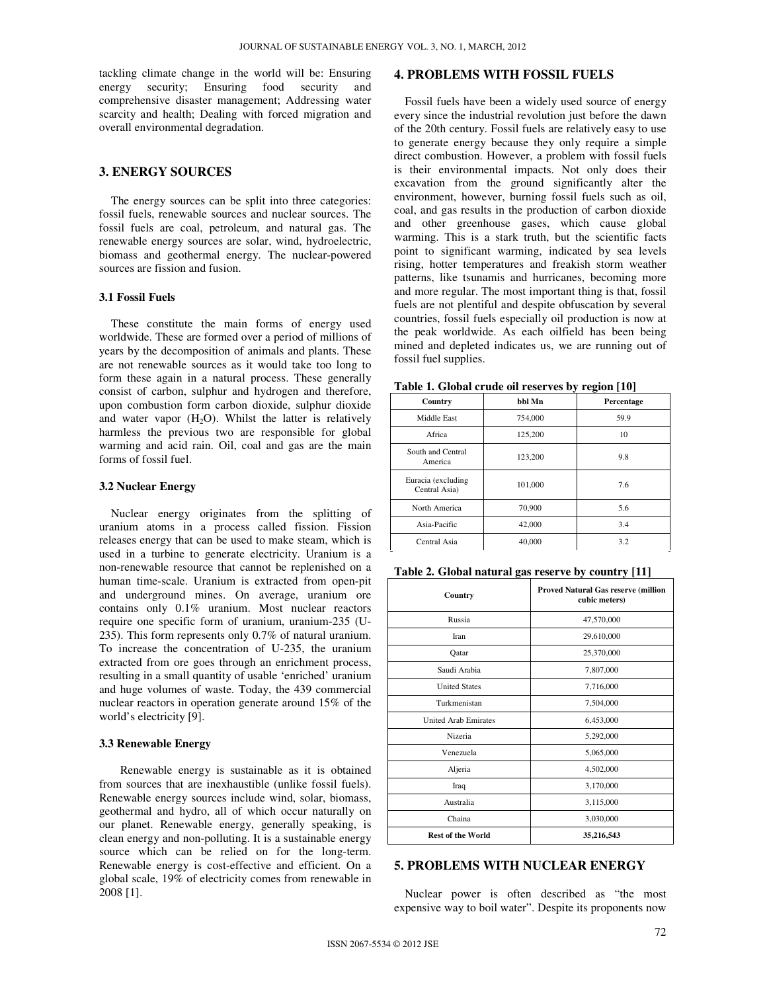tackling climate change in the world will be: Ensuring energy security; Ensuring food security and comprehensive disaster management; Addressing water scarcity and health; Dealing with forced migration and overall environmental degradation.

### **3. ENERGY SOURCES**

The energy sources can be split into three categories: fossil fuels, renewable sources and nuclear sources. The fossil fuels are coal, petroleum, and natural gas. The renewable energy sources are solar, wind, hydroelectric, biomass and geothermal energy. The nuclear-powered sources are fission and fusion.

#### **3.1 Fossil Fuels**

These constitute the main forms of energy used worldwide. These are formed over a period of millions of years by the decomposition of animals and plants. These are not renewable sources as it would take too long to form these again in a natural process. These generally consist of carbon, sulphur and hydrogen and therefore, upon combustion form carbon dioxide, sulphur dioxide and water vapor  $(H_2O)$ . Whilst the latter is relatively harmless the previous two are responsible for global warming and acid rain. Oil, coal and gas are the main forms of fossil fuel.

#### **3.2 Nuclear Energy**

Nuclear energy originates from the splitting of uranium atoms in a process called fission. Fission releases energy that can be used to make steam, which is used in a turbine to generate electricity. Uranium is a non-renewable resource that cannot be replenished on a human time-scale. Uranium is extracted from open-pit and underground mines. On average, uranium ore contains only 0.1% uranium. Most nuclear reactors require one specific form of uranium, uranium-235 (U-235). This form represents only 0.7% of natural uranium. To increase the concentration of U-235, the uranium extracted from ore goes through an enrichment process, resulting in a small quantity of usable 'enriched' uranium and huge volumes of waste. Today, the 439 commercial nuclear reactors in operation generate around 15% of the world's electricity [9].

#### **3.3 Renewable Energy**

Renewable energy is sustainable as it is obtained from sources that are inexhaustible (unlike fossil fuels). Renewable energy sources include wind, solar, biomass, geothermal and hydro, all of which occur naturally on our planet. Renewable energy, generally speaking, is clean energy and non-polluting. It is a sustainable energy source which can be relied on for the long-term. Renewable energy is cost-effective and efficient. On a global scale, 19% of electricity comes from renewable in 2008 [1].

### **4. PROBLEMS WITH FOSSIL FUELS**

Fossil fuels have been a widely used source of energy every since the industrial revolution just before the dawn of the 20th century. Fossil fuels are relatively easy to use to generate energy because they only require a simple direct combustion. However, a problem with fossil fuels is their environmental impacts. Not only does their excavation from the ground significantly alter the environment, however, burning fossil fuels such as oil, coal, and gas results in the production of carbon dioxide and other greenhouse gases, which cause global warming. This is a stark truth, but the scientific facts point to significant warming, indicated by sea levels rising, hotter temperatures and freakish storm weather patterns, like tsunamis and hurricanes, becoming more and more regular. The most important thing is that, fossil fuels are not plentiful and despite obfuscation by several countries, fossil fuels especially oil production is now at the peak worldwide. As each oilfield has been being mined and depleted indicates us, we are running out of fossil fuel supplies.

| Country                             | bbl Mn  | Percentage |
|-------------------------------------|---------|------------|
| Middle East                         | 754,000 | 59.9       |
| Africa                              | 125,200 | 10         |
| South and Central<br>America        | 123,200 | 9.8        |
| Euracia (excluding<br>Central Asia) | 101.000 | 7.6        |
| North America                       | 70,900  | 5.6        |
| Asia-Pacific                        | 42,000  | 3.4        |
| Central Asia                        | 40,000  | 3.2        |

**Table 1. Global crude oil reserves by region [10]** 

| Country                     | <b>Proved Natural Gas reserve (million</b><br>cubic meters) |  |
|-----------------------------|-------------------------------------------------------------|--|
| Russia                      | 47,570,000                                                  |  |
| Iran                        | 29,610,000                                                  |  |
| Qatar                       | 25,370,000                                                  |  |
| Saudi Arabia                | 7,807,000                                                   |  |
| <b>United States</b>        | 7,716,000                                                   |  |
| Turkmenistan                | 7,504,000                                                   |  |
| <b>United Arab Emirates</b> | 6,453,000                                                   |  |
| Nizeria                     | 5,292,000                                                   |  |
| Venezuela                   | 5,065,000                                                   |  |
| Aljeria                     | 4,502,000                                                   |  |
| Iraq                        | 3,170,000                                                   |  |
| Australia                   | 3,115,000                                                   |  |
| Chaina                      | 3,030,000                                                   |  |
| <b>Rest of the World</b>    | 35,216,543                                                  |  |

### **5. PROBLEMS WITH NUCLEAR ENERGY**

Nuclear power is often described as "the most expensive way to boil water". Despite its proponents now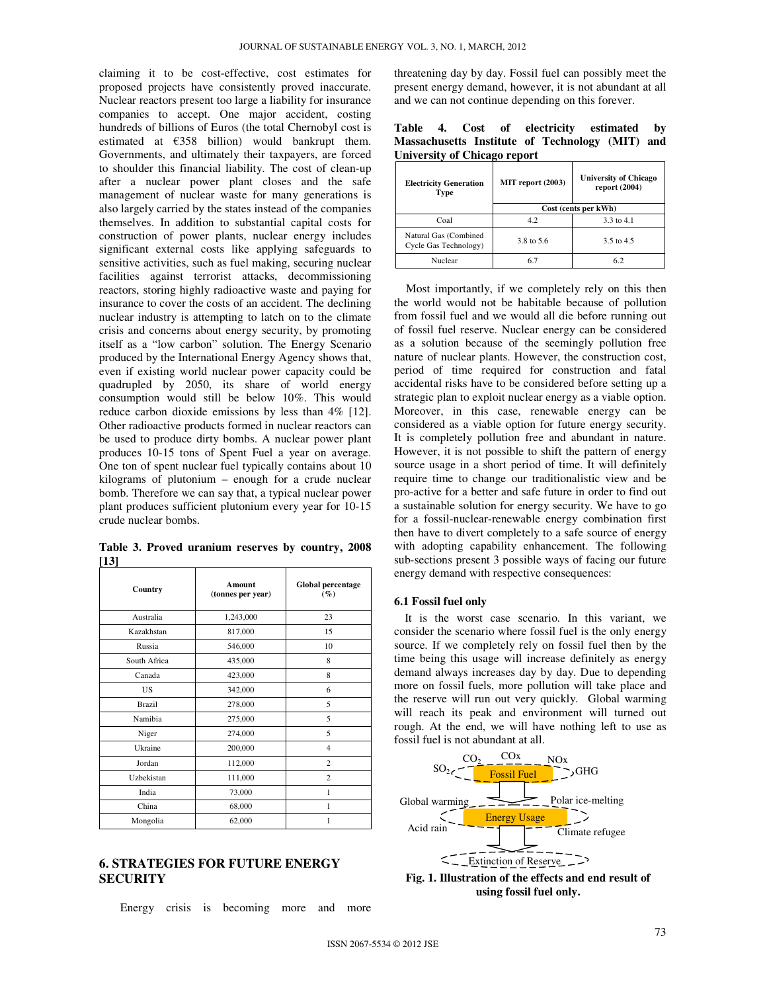claiming it to be cost-effective, cost estimates for proposed projects have consistently proved inaccurate. Nuclear reactors present too large a liability for insurance companies to accept. One major accident, costing hundreds of billions of Euros (the total Chernobyl cost is estimated at  $£358$  billion) would bankrupt them. Governments, and ultimately their taxpayers, are forced to shoulder this financial liability. The cost of clean-up after a nuclear power plant closes and the safe management of nuclear waste for many generations is also largely carried by the states instead of the companies themselves. In addition to substantial capital costs for construction of power plants, nuclear energy includes significant external costs like applying safeguards to sensitive activities, such as fuel making, securing nuclear facilities against terrorist attacks, decommissioning reactors, storing highly radioactive waste and paying for insurance to cover the costs of an accident. The declining nuclear industry is attempting to latch on to the climate crisis and concerns about energy security, by promoting itself as a "low carbon" solution. The Energy Scenario produced by the International Energy Agency shows that, even if existing world nuclear power capacity could be quadrupled by 2050, its share of world energy consumption would still be below 10%. This would reduce carbon dioxide emissions by less than 4% [12]. Other radioactive products formed in nuclear reactors can be used to produce dirty bombs. A nuclear power plant produces 10-15 tons of Spent Fuel a year on average. One ton of spent nuclear fuel typically contains about 10 kilograms of plutonium – enough for a crude nuclear bomb. Therefore we can say that, a typical nuclear power plant produces sufficient plutonium every year for 10-15 crude nuclear bombs.

**Table 3. Proved uranium reserves by country, 2008 [13]** 

| Country      | Amount<br>(tonnes per year) | Global percentage<br>$(\%)$ |
|--------------|-----------------------------|-----------------------------|
| Australia    | 1,243,000                   | 23                          |
| Kazakhstan   | 817,000                     | 15                          |
| Russia       | 546,000                     | 10                          |
| South Africa | 435,000                     | 8                           |
| Canada       | 423,000                     | 8                           |
| US.          | 342,000                     | 6                           |
| Brazil       | 278,000                     | 5                           |
| Namibia      | 275,000                     | 5                           |
| Niger        | 274,000                     | 5                           |
| Ukraine      | 200,000                     | $\overline{4}$              |
| Jordan       | 112,000                     | $\overline{c}$              |
| Uzbekistan   | 111,000                     | $\overline{c}$              |
| India        | 73,000                      | 1                           |
| China        | 68,000                      | 1                           |
| Mongolia     | 62,000                      | 1                           |

**6. STRATEGIES FOR FUTURE ENERGY SECURITY** 

Energy crisis is becoming more and more

threatening day by day. Fossil fuel can possibly meet the present energy demand, however, it is not abundant at all and we can not continue depending on this forever.

**Table 4. Cost of electricity estimated by Massachusetts Institute of Technology (MIT) and University of Chicago report** 

| <b>Electricity Generation</b><br>Type          | MIT report (2003)    | <b>University of Chicago</b><br>report $(2004)$ |
|------------------------------------------------|----------------------|-------------------------------------------------|
|                                                | Cost (cents per kWh) |                                                 |
| Coal                                           | 4.2                  | 3.3 to 4.1                                      |
| Natural Gas (Combined<br>Cycle Gas Technology) | 3.8 to 5.6           | 3.5 to 4.5                                      |
| Nuclear                                        |                      |                                                 |

Most importantly, if we completely rely on this then the world would not be habitable because of pollution from fossil fuel and we would all die before running out of fossil fuel reserve. Nuclear energy can be considered as a solution because of the seemingly pollution free nature of nuclear plants. However, the construction cost, period of time required for construction and fatal accidental risks have to be considered before setting up a strategic plan to exploit nuclear energy as a viable option. Moreover, in this case, renewable energy can be considered as a viable option for future energy security. It is completely pollution free and abundant in nature. However, it is not possible to shift the pattern of energy source usage in a short period of time. It will definitely require time to change our traditionalistic view and be pro-active for a better and safe future in order to find out a sustainable solution for energy security. We have to go for a fossil-nuclear-renewable energy combination first then have to divert completely to a safe source of energy with adopting capability enhancement. The following sub-sections present 3 possible ways of facing our future energy demand with respective consequences:

#### **6.1 Fossil fuel only**

It is the worst case scenario. In this variant, we consider the scenario where fossil fuel is the only energy source. If we completely rely on fossil fuel then by the time being this usage will increase definitely as energy demand always increases day by day. Due to depending more on fossil fuels, more pollution will take place and the reserve will run out very quickly. Global warming will reach its peak and environment will turned out rough. At the end, we will have nothing left to use as fossil fuel is not abundant at all.



**Fig. 1. Illustration of the effects and end result of using fossil fuel only.**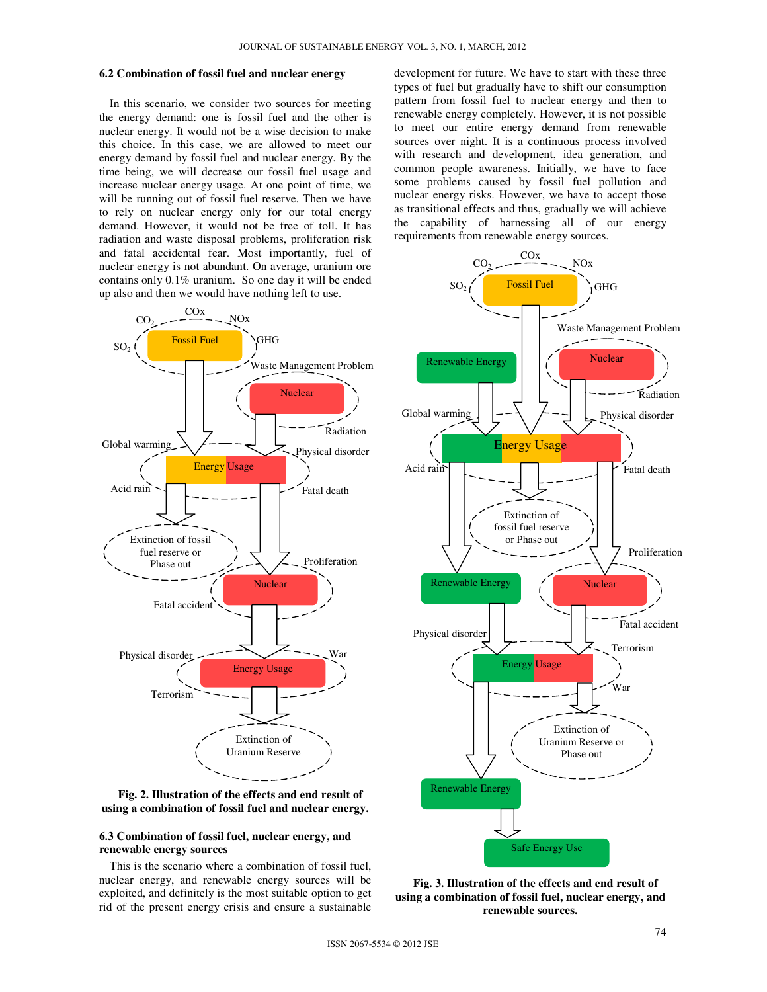#### **6.2 Combination of fossil fuel and nuclear energy**

In this scenario, we consider two sources for meeting the energy demand: one is fossil fuel and the other is nuclear energy. It would not be a wise decision to make this choice. In this case, we are allowed to meet our energy demand by fossil fuel and nuclear energy. By the time being, we will decrease our fossil fuel usage and increase nuclear energy usage. At one point of time, we will be running out of fossil fuel reserve. Then we have to rely on nuclear energy only for our total energy demand. However, it would not be free of toll. It has radiation and waste disposal problems, proliferation risk and fatal accidental fear. Most importantly, fuel of nuclear energy is not abundant. On average, uranium ore contains only 0.1% uranium. So one day it will be ended up also and then we would have nothing left to use.



**Fig. 2. Illustration of the effects and end result of using a combination of fossil fuel and nuclear energy.** 

### **6.3 Combination of fossil fuel, nuclear energy, and renewable energy sources**

This is the scenario where a combination of fossil fuel, nuclear energy, and renewable energy sources will be exploited, and definitely is the most suitable option to get rid of the present energy crisis and ensure a sustainable development for future. We have to start with these three types of fuel but gradually have to shift our consumption pattern from fossil fuel to nuclear energy and then to renewable energy completely. However, it is not possible to meet our entire energy demand from renewable sources over night. It is a continuous process involved with research and development, idea generation, and common people awareness. Initially, we have to face some problems caused by fossil fuel pollution and nuclear energy risks. However, we have to accept those as transitional effects and thus, gradually we will achieve the capability of harnessing all of our energy requirements from renewable energy sources.



**Fig. 3. Illustration of the effects and end result of using a combination of fossil fuel, nuclear energy, and renewable sources.**